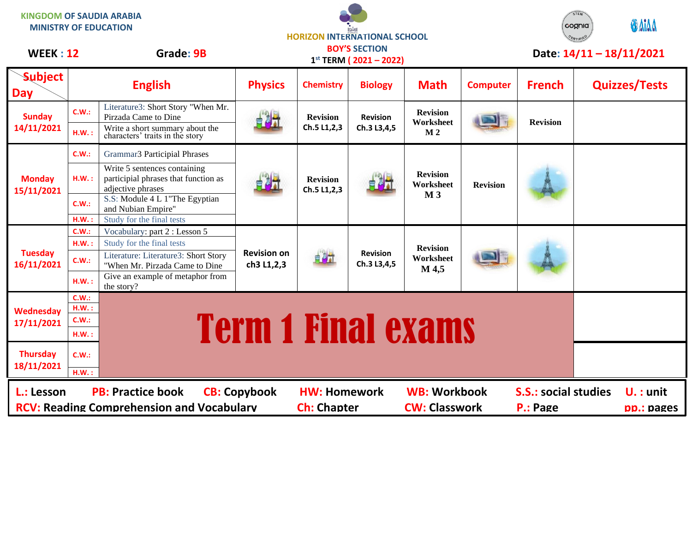| <b>KINGDOM OF SAUDIA ARABIA</b><br><b>MINISTRY OF EDUCATION</b>                                                                                                                                                                                          |                   |                                                                                                            | <b>HORIZON INTERNATIONAL SCHOOL</b> |                                |                                                         |                                                |                 |                           | cognia <sup>.</sup><br><b>CERTIFIED</b> | OAIAA                    |
|----------------------------------------------------------------------------------------------------------------------------------------------------------------------------------------------------------------------------------------------------------|-------------------|------------------------------------------------------------------------------------------------------------|-------------------------------------|--------------------------------|---------------------------------------------------------|------------------------------------------------|-----------------|---------------------------|-----------------------------------------|--------------------------|
| <b>WEEK: 12</b>                                                                                                                                                                                                                                          |                   | Grade: 9B                                                                                                  |                                     |                                | <b>BOY'S SECTION</b><br>$1^{st}$ TERM ( $2021 - 2022$ ) |                                                |                 |                           |                                         | Date: 14/11 - 18/11/2021 |
| <b>Subject</b><br><b>Day</b>                                                                                                                                                                                                                             |                   | <b>English</b>                                                                                             | <b>Physics</b>                      | <b>Chemistry</b>               | <b>Biology</b>                                          | <b>Math</b>                                    | <b>Computer</b> | <b>French</b>             |                                         | <b>Quizzes/Tests</b>     |
| <b>Sunday</b><br>14/11/2021                                                                                                                                                                                                                              | C.W.:<br>H.W.:    | Literature3: Short Story "When Mr.<br>Pirzada Came to Dine<br>Write a short summary about the              |                                     | <b>Revision</b><br>Ch.5 L1,2,3 | <b>Revision</b><br>Ch.3 L3,4,5                          | <b>Revision</b><br>Worksheet<br>M <sub>2</sub> |                 | <b>Revision</b>           |                                         |                          |
| <b>Monday</b><br>15/11/2021                                                                                                                                                                                                                              | C.W.:             | characters' traits in the story<br><b>Grammar3 Participial Phrases</b>                                     |                                     | <b>Revision</b><br>Ch.5 L1,2,3 | 自身开                                                     | <b>Revision</b><br>Worksheet<br>M <sub>3</sub> | <b>Revision</b> |                           |                                         |                          |
|                                                                                                                                                                                                                                                          | HM.:              | Write 5 sentences containing<br>participial phrases that function as<br>adjective phrases                  |                                     |                                |                                                         |                                                |                 |                           |                                         |                          |
|                                                                                                                                                                                                                                                          | C.W.:<br>$H.W.$ : | S.S: Module 4 L 1"The Egyptian<br>and Nubian Empire"<br>Study for the final tests                          |                                     |                                |                                                         |                                                |                 |                           |                                         |                          |
| <b>Tuesday</b><br>16/11/2021                                                                                                                                                                                                                             | C.W.:<br>H.W.:    | Vocabulary: part 2 : Lesson 5<br>Study for the final tests                                                 | <b>Revision on</b><br>ch3 L1,2,3    | 自身式                            | <b>Revision</b><br>Ch.3 L3,4,5                          | <b>Revision</b><br>Worksheet<br>M 4,5          |                 |                           |                                         |                          |
|                                                                                                                                                                                                                                                          | C.W.:             | Literature: Literature3: Short Story<br>"When Mr. Pirzada Came to Dine<br>Give an example of metaphor from |                                     |                                |                                                         |                                                |                 |                           |                                         |                          |
|                                                                                                                                                                                                                                                          | H.W.:             | the story?                                                                                                 |                                     |                                |                                                         |                                                |                 |                           |                                         |                          |
| Wednesday<br>17/11/2021                                                                                                                                                                                                                                  | C.W.:<br>HM.:     |                                                                                                            |                                     |                                |                                                         |                                                |                 |                           |                                         |                          |
|                                                                                                                                                                                                                                                          | C.W.:<br>H.W.:    | <b>Term 1 Final exams</b>                                                                                  |                                     |                                |                                                         |                                                |                 |                           |                                         |                          |
| <b>Thursday</b><br>18/11/2021                                                                                                                                                                                                                            | C.W.:<br>H.W.:    |                                                                                                            |                                     |                                |                                                         |                                                |                 |                           |                                         |                          |
| <b>PB: Practice book</b><br><b>HW: Homework</b><br><b>WB: Workbook</b><br><b>S.S.: social studies</b><br>L.: Lesson<br><b>CB: Copybook</b><br><b>RCV: Reading Comprehension and Vocabulary</b><br><b>Ch: Chapter</b><br><b>CW: Classwork</b><br>P.: Page |                   |                                                                                                            |                                     |                                |                                                         |                                                |                 | $U.$ : unit<br>pp.: pages |                                         |                          |